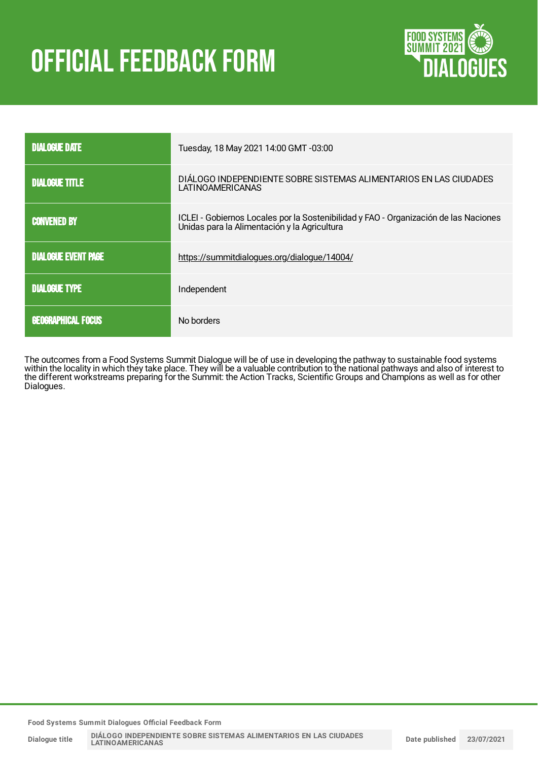# **OFFICIAL FEEDBACK FORM**



| <b>DIALOGUE DATE</b>       | Tuesday, 18 May 2021 14:00 GMT -03:00                                                                                                |
|----------------------------|--------------------------------------------------------------------------------------------------------------------------------------|
| <b>DIALOGUE TITLE</b>      | DIÁLOGO INDEPENDIENTE SOBRE SISTEMAS ALIMENTARIOS EN LAS CIUDADES<br>LATINOAMERICANAS                                                |
| <b>CONVENED BY</b>         | ICLEI - Gobiernos Locales por la Sostenibilidad y FAO - Organización de las Naciones<br>Unidas para la Alimentación y la Agricultura |
| <b>DIALOGUE EVENT PAGE</b> | https://summitdialogues.org/dialogue/14004/                                                                                          |
| <b>DIALOGUE TYPE</b>       | Independent                                                                                                                          |
| <b>GEOGRAPHICAL FOCUS</b>  | No borders                                                                                                                           |

The outcomes from a Food Systems Summit Dialogue will be of use in developing the pathway to sustainable food systems within the locality in which they take place. They will be a valuable contribution to the national pathways and also of interest to the different workstreams preparing for the Summit: the Action Tracks, Scientific Groups and Champions as well as for other Dialogues.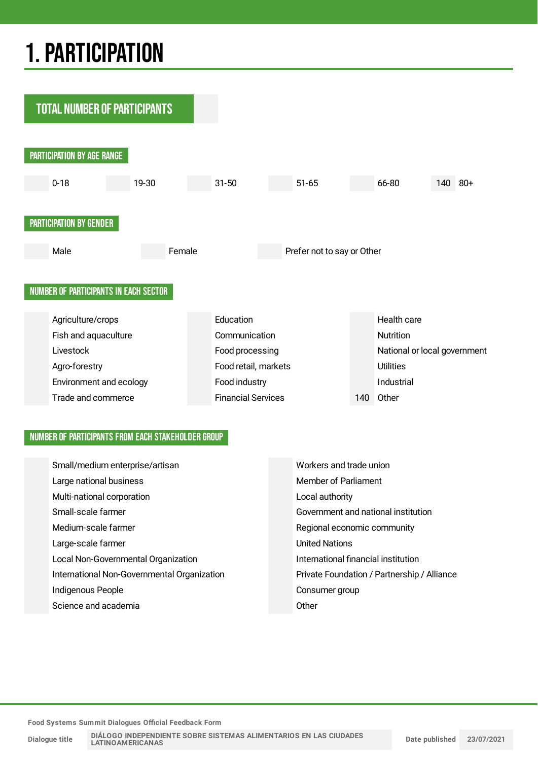## 1.PARTICIPATION



#### NUMBER OF PARTICIPANTS FROM EACH STAKEHOLDER GROUP

| Small/medium enterprise/artisan             | Workers and trade union                     |
|---------------------------------------------|---------------------------------------------|
| Large national business                     | Member of Parliament                        |
| Multi-national corporation                  | Local authority                             |
| Small-scale farmer                          | Government and national institution         |
| Medium-scale farmer                         | Regional economic community                 |
| Large-scale farmer                          | <b>United Nations</b>                       |
| Local Non-Governmental Organization         | International financial institution         |
| International Non-Governmental Organization | Private Foundation / Partnership / Alliance |
| Indigenous People                           | Consumer group                              |
| Science and academia                        | Other                                       |

**Food Systems Summit Dialogues Official Feedback Form**

**Dialogue title**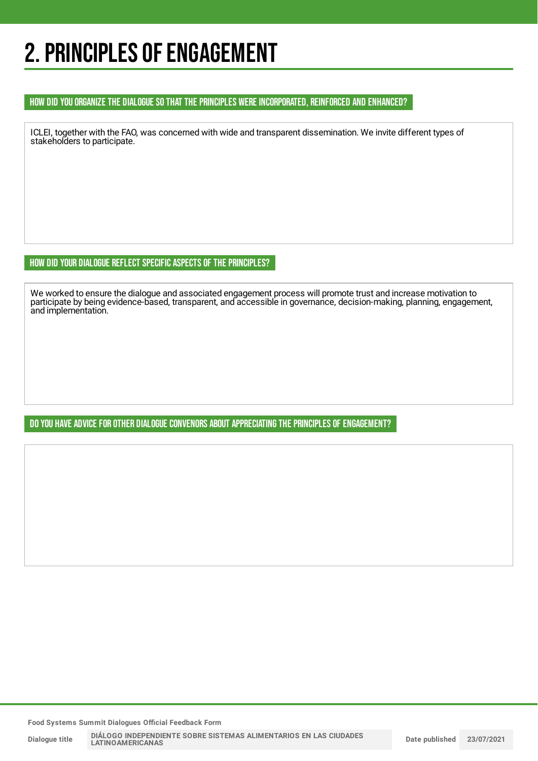### 2. PRINCIPLES OF ENGAGEMENT

#### HOW DID YOU ORGANIZE THE DIALOGUE SO THAT THE PRINCIPLES WERE INCORPORATED, REINFORCED AND ENHANCED?

ICLEI, together with the FAO, was concerned with wide and transparent dissemination. We invite different types of stakeholders to participate.

HOW DID YOUR DIALOGUE REFLECT SPECIFIC ASPECTS OF THE PRINCIPLES?

We worked to ensure the dialogue and associated engagement process will promote trust and increase motivation to participate by being evidence-based, transparent, and accessible in governance, decision-making, planning, engagement, and implementation.

DO YOU HAVE ADVICE FOR OTHER DIALOGUE CONVENORS ABOUT APPRECIATING THE PRINCIPLES OF ENGAGEMENT?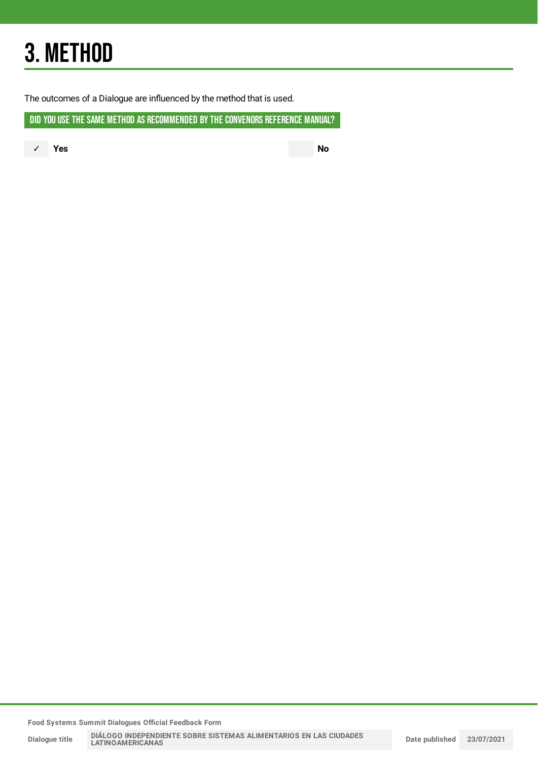## 3. METHOD

The outcomes of a Dialogue are influenced by the method that is used.

DID YOU USE THE SAME METHOD AS RECOMMENDED BY THE CONVENORS REFERENCE MANUAL?

✓ **Yes No**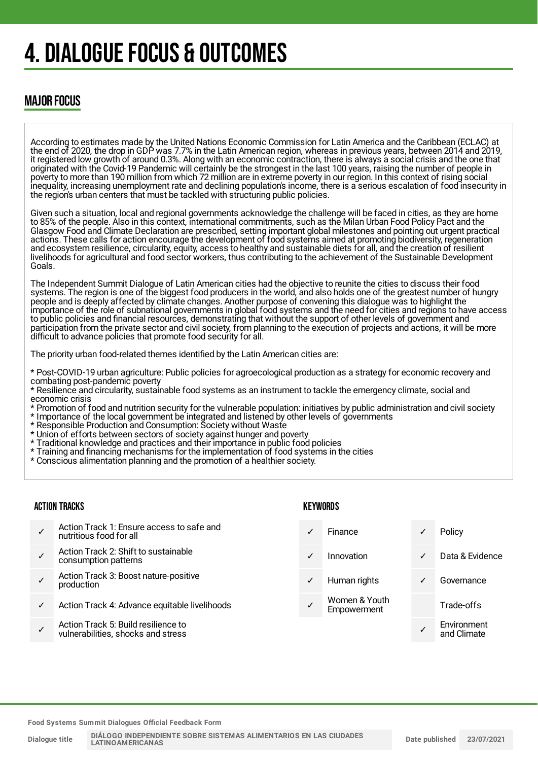## 4. DIALOGUE FOCUS & OUTCOMES

### MAJOR FOCUS

According to estimates made by the United Nations Economic Commission for Latin America and the Caribbean (ECLAC) at the end of 2020, the drop in GDP was 7.7% in the Latin American region, whereas in previous years, between 2014 and 2019, it registered low growth of around 0.3%. Along with an economic contraction, there is always a social crisis and the one that originated with the Covid-19 Pandemic will certainly be the strongest in the last 100 years, raising the number of people in poverty to more than 190 million from which 72 million are in extreme poverty in our region. In this context of rising social inequality, increasing unemployment rate and declining population's income, there is a serious escalation of food insecurity in the region's urban centers that must be tackled with structuring public policies.

Given such a situation, local and regional governments acknowledge the challenge will be faced in cities, as they are home to 85% of the people. Also in this context, international commitments, such as the Milan Urban Food Policy Pact and the Glasgow Food and Climate Declaration are prescribed, setting important global milestones and pointing out urgent practical actions. These calls for action encourage the development of food systems aimed at promoting biodiversity, regeneration and ecosystem resilience, circularity, equity, access to healthy and sustainable diets for all, and the creation of resilient livelihoods for agricultural and food sector workers, thus contributing to the achievement of the Sustainable Development Goals.

The Independent Summit Dialogue of Latin American cities had the objective to reunite the cities to discuss their food systems. The region is one of the biggest food producers in the world, and also holds one of the greatest number of hungry people and is deeply affected by climate changes. Another purpose of convening this dialogue was to highlight the importance of the role of subnational governments in global food systems and the need for cities and regions to have access to public policies and financial resources, demonstrating that without the support of other levels of government and participation from the private sector and civil society, from planning to the execution of projects and actions, it will be more difficult to advance policies that promote food security for all.

The priority urban food-related themes identified by the Latin American cities are:

\* Post-COVID-19 urban agriculture: Public policies for agroecological production as a strategy for economic recovery and combating post-pandemic poverty

\* Resilience and circularity, sustainable food systems as an instrument to tackle the emergency climate, social and economic crisis

- \* Promotion of food and nutrition security for the vulnerable population: initiatives by public administration and civil society \* Importance of the local government be integrated and listened by other levels of governments
- \* Responsible Production and Consumption: Society without Waste
- \* Union of efforts between sectors of society against hunger and poverty
- \* Traditional knowledge and practices and their importance in public food policies
- \* Training and financing mechanisms for the implementation of food systems in the cities
- \* Conscious alimentation planning and the promotion of a healthier society.

#### ACTION TRACKS

- ✓ Action Track 1: Ensure access to safe and nutritious food for all
- ✓ Action Track 2: Shift to sustainable consumption patterns
- ✓ Action Track 3: Boost nature-positive production
- Action Track 4: Advance equitable livelihoods
- ✓ Action Track 5: Build resilience to vulnerabilities, shocks and stress

#### **KEYWORDS**

Finance **√** Policy ✓ Innovation ✓ Data & Evidence Human rights **v** Governance Women & Youth Empowerment Trade-offs ✓ Environment and Climate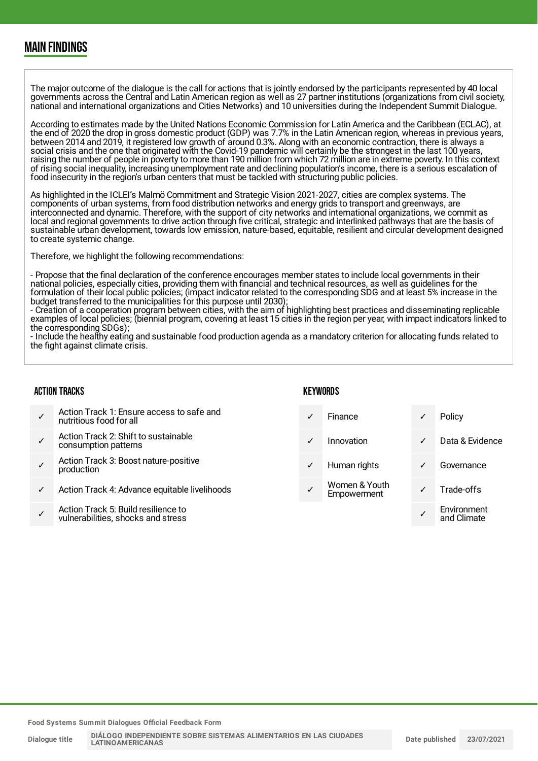### MAIN FINDINGS

The major outcome of the dialogue is the call for actions that is jointly endorsed by the participants represented by 40 local governments across the Central and Latin American region as well as 27 partner institutions (organizations from civil society, national and international organizations and Cities Networks) and 10 universities during the Independent Summit Dialogue.

According to estimates made by the United Nations Economic Commission for Latin America and the Caribbean (ECLAC), at the end of 2020 the drop in gross domestic product (GDP) was 7.7% in the Latin American region, whereas in previous years, between 2014 and 2019, it registered low growth of around 0.3%. Along with an economic contraction, there is always a social crisis and the one that originated with the Covid-19 pandemic will certainly be the strongest in the last 100 years, raising the number of people in poverty to more than 190 million from which 72 million are in extreme poverty. In this context of rising social inequality, increasing unemployment rate and declining population's income, there is a serious escalation of food insecurity in the region's urban centers that must be tackled with structuring public policies.

As highlighted in the ICLEI's Malmö Commitment and Strategic Vision 2021-2027, cities are complex systems. The components of urban systems, from food distribution networks and energy grids to transport and greenways, are interconnected and dynamic. Therefore, with the support of city networks and international organizations, we commit as local and regional governments to drive action through five critical, strategic and interlinked pathways that are the basis of sustainable urban development, towards low emission, nature-based, equitable, resilient and circular development designed to create systemic change.

Therefore, we highlight the following recommendations:

- Propose that the final declaration of the conference encourages member states to include local governments in their national policies, especially cities, providing them with financial and technical resources, as well as guidelines for the formulation of their local public policies; (impact indicator related to the corresponding SDG and at least 5% increase in the budget transferred to the municipalities for this purpose until 2030);

- Creation of a cooperation program between cities, with the aim of highlighting best practices and disseminating replicable examples of local policies; (biennial program, covering at least 15 cities in the region per year, with impact indicators linked to the corresponding SDGs);

- Include the healthy eating and sustainable food production agenda as a mandatory criterion for allocating funds related to the fight against climate crisis.

#### ACTION TRACKS

#### **KEYWORDS**

✓ Action Track 1: Ensure access to safe and nutritious food for all ✓ Action Track 2: Shift to sustainable consumption patterns ✓ Action Track 3: Boost nature-positive production Action Track 4: Advance equitable livelihoods ✓ Action Track 5: Build resilience to vulnerabilities, shocks and stress Finance **√** Policy ✓ Innovation ✓ Data & Evidence Human rights **v** Governance Women & Youth Women & Toum<br>Empowerment V Trade-offs ✓ Environment and Climate

**Food Systems Summit Dialogues Official Feedback Form**

**Dialogue title**

**DIÁLOGO INDEPENDIENTE SOBRE SISTEMAS ALIMENTARIOS EN LAS CIUDADES LATINOAMERICANAS**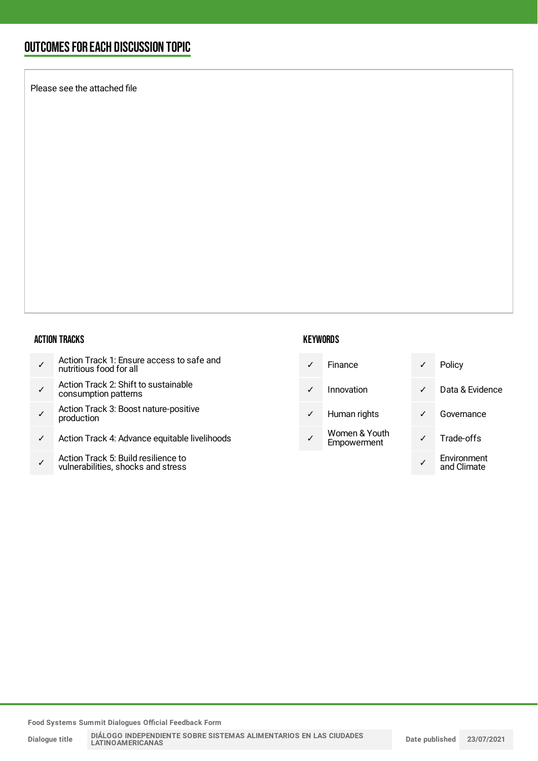### OUTCOMESFOR EACH DISCUSSION TOPIC

Please see the attached file

#### ACTION TRACKS

- ✓ Action Track 2: Shift to sustainable consumption patterns
- ✓ Action Track 3: Boost nature-positive production
- ✓ Action Track 4: Advance equitable livelihoods
- ✓ Action Track 5: Build resilience to vulnerabilities, shocks and stress

#### **KEYWORDS**

| Finance | Policy |
|---------|--------|
|         |        |

✓ Innovation ✓ Data & Evidence

- ✓ Human rights ✓ Governance
- Women & Youth Empowerment

|   | Policy                     |
|---|----------------------------|
|   | Data & Evidence            |
| ℐ | Governance                 |
| ∕ | Trade-offs                 |
|   | Environment<br>and Climate |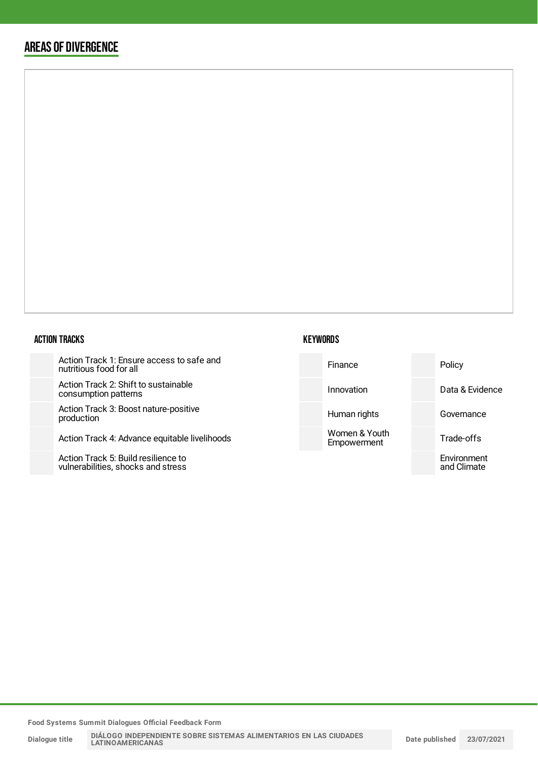### AREAS OF DIVERGENCE

#### ACTION TRACKS

Action Track 1: Ensure access to safe and nutritious food for all

Action Track 2: Shift to sustainable consumption patterns

Action Track 3: Boost nature-positiv production

Action Track 4: Advance equitable

Action Track 5: Build resilience to vulnerabilities, shocks and stress

| afe and     | Finance                      | Policy                     |
|-------------|------------------------------|----------------------------|
|             | Innovation                   | Data & Evidence            |
| ve          | Human rights                 | Governance                 |
| livelihoods | Women & Youth<br>Empowerment | Trade-offs                 |
|             |                              | Environment<br>and Climate |
|             |                              |                            |

**Food Systems Summit Dialogues Official Feedback Form**

**Dialogue title**